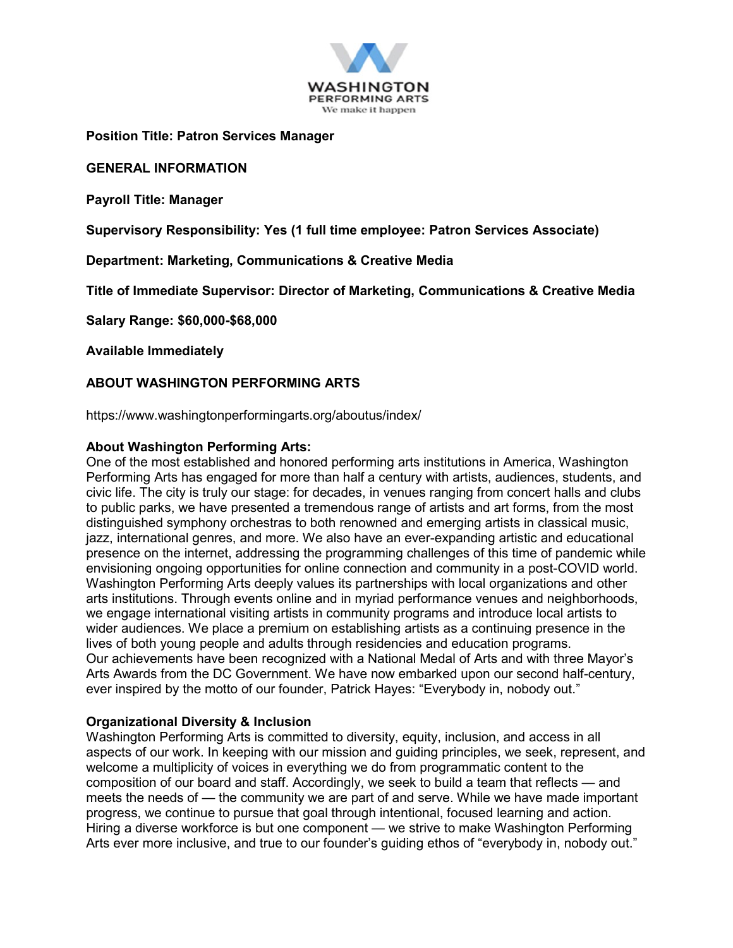

**Position Title: Patron Services Manager**

**GENERAL INFORMATION**

**Payroll Title: Manager**

**Supervisory Responsibility: Yes (1 full time employee: Patron Services Associate)**

**Department: Marketing, Communications & Creative Media**

**Title of Immediate Supervisor: Director of Marketing, Communications & Creative Media**

**Salary Range: \$60,000-\$68,000**

**Available Immediately**

### **ABOUT WASHINGTON PERFORMING ARTS**

https://www.washingtonperformingarts.org/aboutus/index/

#### **About Washington Performing Arts:**

One of the most established and honored performing arts institutions in America, Washington Performing Arts has engaged for more than half a century with artists, audiences, students, and civic life. The city is truly our stage: for decades, in venues ranging from concert halls and clubs to public parks, we have presented a tremendous range of artists and art forms, from the most distinguished symphony orchestras to both renowned and emerging artists in classical music, jazz, international genres, and more. We also have an ever-expanding artistic and educational presence on the internet, addressing the programming challenges of this time of pandemic while envisioning ongoing opportunities for online connection and community in a post-COVID world. Washington Performing Arts deeply values its partnerships with local organizations and other arts institutions. Through events online and in myriad performance venues and neighborhoods, we engage international visiting artists in community programs and introduce local artists to wider audiences. We place a premium on establishing artists as a continuing presence in the lives of both young people and adults through residencies and education programs. Our achievements have been recognized with a National Medal of Arts and with three Mayor's Arts Awards from the DC Government. We have now embarked upon our second half-century, ever inspired by the motto of our founder, Patrick Hayes: "Everybody in, nobody out."

#### **Organizational Diversity & Inclusion**

Washington Performing Arts is committed to diversity, equity, inclusion, and access in all aspects of our work. In keeping with our mission and guiding principles, we seek, represent, and welcome a multiplicity of voices in everything we do from programmatic content to the composition of our board and staff. Accordingly, we seek to build a team that reflects — and meets the needs of — the community we are part of and serve. While we have made important progress, we continue to pursue that goal through intentional, focused learning and action. Hiring a diverse workforce is but one component — we strive to make Washington Performing Arts ever more inclusive, and true to our founder's guiding ethos of "everybody in, nobody out."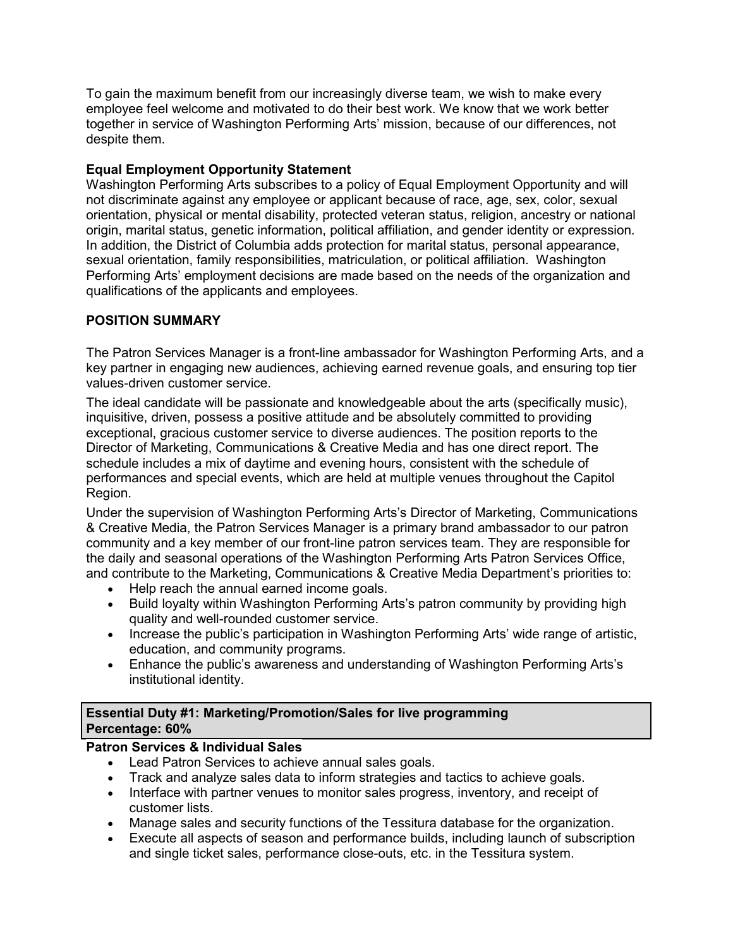To gain the maximum benefit from our increasingly diverse team, we wish to make every employee feel welcome and motivated to do their best work. We know that we work better together in service of Washington Performing Arts' mission, because of our differences, not despite them.

### **Equal Employment Opportunity Statement**

Washington Performing Arts subscribes to a policy of Equal Employment Opportunity and will not discriminate against any employee or applicant because of race, age, sex, color, sexual orientation, physical or mental disability, protected veteran status, religion, ancestry or national origin, marital status, genetic information, political affiliation, and gender identity or expression. In addition, the District of Columbia adds protection for marital status, personal appearance, sexual orientation, family responsibilities, matriculation, or political affiliation. Washington Performing Arts' employment decisions are made based on the needs of the organization and qualifications of the applicants and employees.

## **POSITION SUMMARY**

The Patron Services Manager is a front-line ambassador for Washington Performing Arts, and a key partner in engaging new audiences, achieving earned revenue goals, and ensuring top tier values-driven customer service.

The ideal candidate will be passionate and knowledgeable about the arts (specifically music), inquisitive, driven, possess a positive attitude and be absolutely committed to providing exceptional, gracious customer service to diverse audiences. The position reports to the Director of Marketing, Communications & Creative Media and has one direct report. The schedule includes a mix of daytime and evening hours, consistent with the schedule of performances and special events, which are held at multiple venues throughout the Capitol Region.

Under the supervision of Washington Performing Arts's Director of Marketing, Communications & Creative Media, the Patron Services Manager is a primary brand ambassador to our patron community and a key member of our front-line patron services team. They are responsible for the daily and seasonal operations of the Washington Performing Arts Patron Services Office, and contribute to the Marketing, Communications & Creative Media Department's priorities to:

- Help reach the annual earned income goals.
- Build loyalty within Washington Performing Arts's patron community by providing high quality and well-rounded customer service.
- Increase the public's participation in Washington Performing Arts' wide range of artistic, education, and community programs.
- Enhance the public's awareness and understanding of Washington Performing Arts's institutional identity.

## **Essential Duty #1: Marketing/Promotion/Sales for live programming Percentage: 60%**

# **Patron Services & Individual Sales**

- Lead Patron Services to achieve annual sales goals.
- Track and analyze sales data to inform strategies and tactics to achieve goals.
- Interface with partner venues to monitor sales progress, inventory, and receipt of customer lists.
- Manage sales and security functions of the Tessitura database for the organization.
- Execute all aspects of season and performance builds, including launch of subscription and single ticket sales, performance close-outs, etc. in the Tessitura system.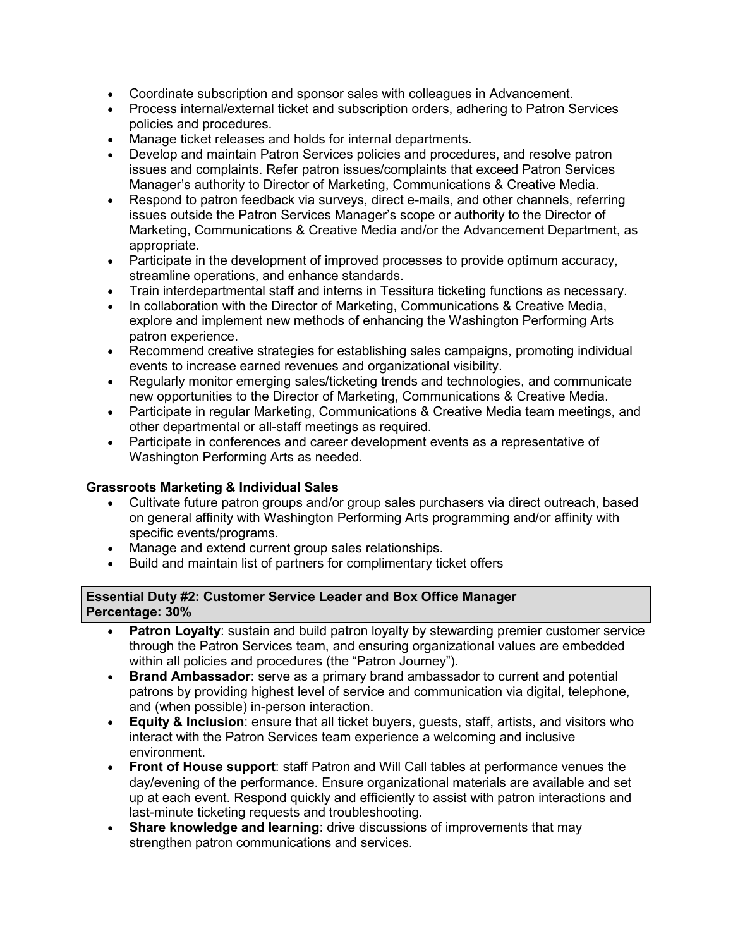- Coordinate subscription and sponsor sales with colleagues in Advancement.
- Process internal/external ticket and subscription orders, adhering to Patron Services policies and procedures.
- Manage ticket releases and holds for internal departments.
- Develop and maintain Patron Services policies and procedures, and resolve patron issues and complaints. Refer patron issues/complaints that exceed Patron Services Manager's authority to Director of Marketing, Communications & Creative Media.
- Respond to patron feedback via surveys, direct e-mails, and other channels, referring issues outside the Patron Services Manager's scope or authority to the Director of Marketing, Communications & Creative Media and/or the Advancement Department, as appropriate.
- Participate in the development of improved processes to provide optimum accuracy, streamline operations, and enhance standards.
- Train interdepartmental staff and interns in Tessitura ticketing functions as necessary.
- In collaboration with the Director of Marketing, Communications & Creative Media, explore and implement new methods of enhancing the Washington Performing Arts patron experience.
- Recommend creative strategies for establishing sales campaigns, promoting individual events to increase earned revenues and organizational visibility.
- Regularly monitor emerging sales/ticketing trends and technologies, and communicate new opportunities to the Director of Marketing, Communications & Creative Media.
- Participate in regular Marketing, Communications & Creative Media team meetings, and other departmental or all-staff meetings as required.
- Participate in conferences and career development events as a representative of Washington Performing Arts as needed.

### **Grassroots Marketing & Individual Sales**

- Cultivate future patron groups and/or group sales purchasers via direct outreach, based on general affinity with Washington Performing Arts programming and/or affinity with specific events/programs.
- Manage and extend current group sales relationships.
- Build and maintain list of partners for complimentary ticket offers

### **Essential Duty #2: Customer Service Leader and Box Office Manager Percentage: 30%**

- **Patron Loyalty:** sustain and build patron loyalty by stewarding premier customer service through the Patron Services team, and ensuring organizational values are embedded within all policies and procedures (the "Patron Journey").
- **Brand Ambassador**: serve as a primary brand ambassador to current and potential patrons by providing highest level of service and communication via digital, telephone, and (when possible) in-person interaction.
- **Equity & Inclusion**: ensure that all ticket buyers, guests, staff, artists, and visitors who interact with the Patron Services team experience a welcoming and inclusive environment.
- **Front of House support**: staff Patron and Will Call tables at performance venues the day/evening of the performance. Ensure organizational materials are available and set up at each event. Respond quickly and efficiently to assist with patron interactions and last-minute ticketing requests and troubleshooting.
- **Share knowledge and learning**: drive discussions of improvements that may strengthen patron communications and services.